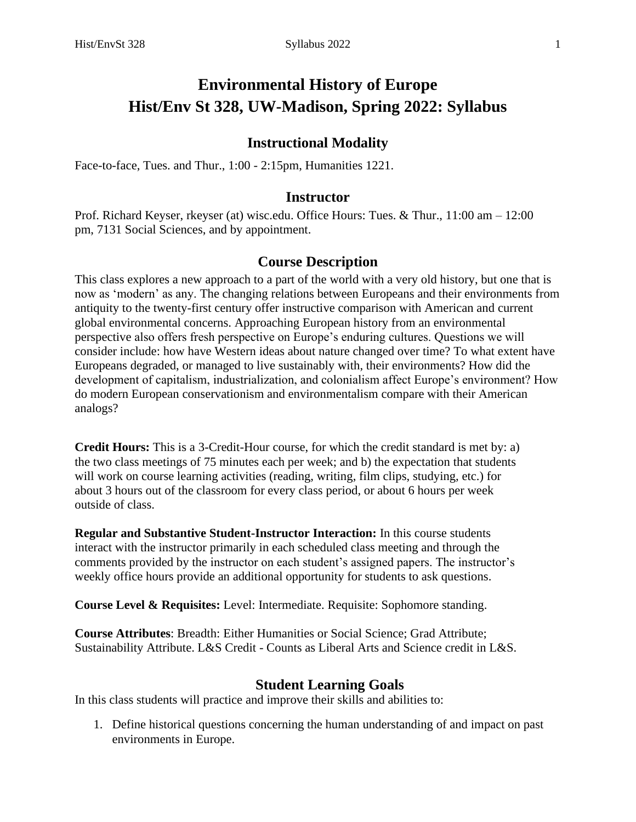# **Environmental History of Europe Hist/Env St 328, UW-Madison, Spring 2022: Syllabus**

## **Instructional Modality**

Face-to-face, Tues. and Thur., 1:00 - 2:15pm, Humanities 1221.

#### **Instructor**

Prof. Richard Keyser, rkeyser (at) wisc.edu. Office Hours: Tues. & Thur., 11:00 am – 12:00 pm, 7131 Social Sciences, and by appointment.

## **Course Description**

This class explores a new approach to a part of the world with a very old history, but one that is now as 'modern' as any. The changing relations between Europeans and their environments from antiquity to the twenty-first century offer instructive comparison with American and current global environmental concerns. Approaching European history from an environmental perspective also offers fresh perspective on Europe's enduring cultures. Questions we will consider include: how have Western ideas about nature changed over time? To what extent have Europeans degraded, or managed to live sustainably with, their environments? How did the development of capitalism, industrialization, and colonialism affect Europe's environment? How do modern European conservationism and environmentalism compare with their American analogs?

**Credit Hours:** This is a 3-Credit-Hour course, for which the credit standard is met by: a) the two class meetings of 75 minutes each per week; and b) the expectation that students will work on course learning activities (reading, writing, film clips, studying, etc.) for about 3 hours out of the classroom for every class period, or about 6 hours per week outside of class.

**Regular and Substantive Student-Instructor Interaction:** In this course students interact with the instructor primarily in each scheduled class meeting and through the comments provided by the instructor on each student's assigned papers. The instructor's weekly office hours provide an additional opportunity for students to ask questions.

**Course Level & Requisites:** Level: Intermediate. Requisite: Sophomore standing.

**Course Attributes**: Breadth: Either Humanities or Social Science; Grad Attribute; Sustainability Attribute. L&S Credit - Counts as Liberal Arts and Science credit in L&S.

#### **Student Learning Goals**

In this class students will practice and improve their skills and abilities to:

1. Define historical questions concerning the human understanding of and impact on past environments in Europe.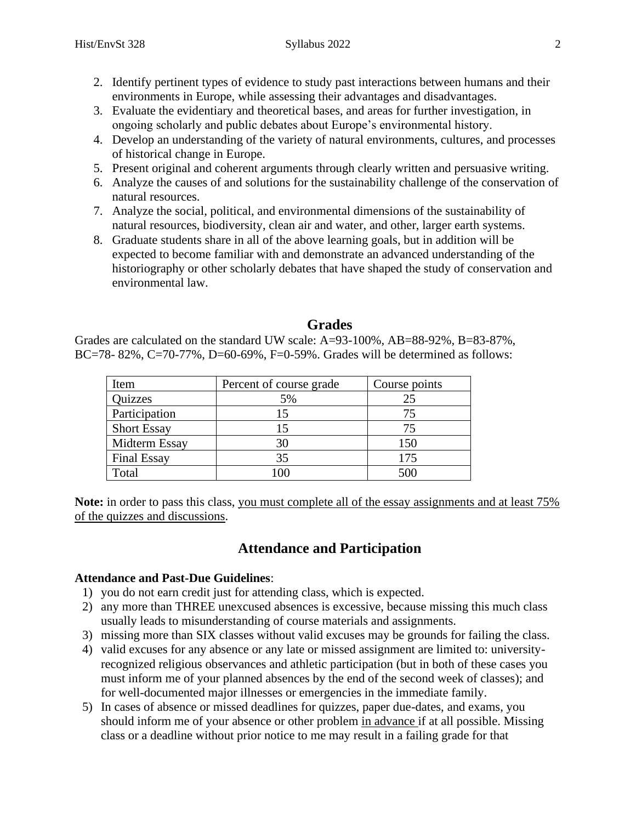- 2. Identify pertinent types of evidence to study past interactions between humans and their environments in Europe, while assessing their advantages and disadvantages.
- 3. Evaluate the evidentiary and theoretical bases, and areas for further investigation, in ongoing scholarly and public debates about Europe's environmental history.
- 4. Develop an understanding of the variety of natural environments, cultures, and processes of historical change in Europe.
- 5. Present original and coherent arguments through clearly written and persuasive writing.
- 6. Analyze the causes of and solutions for the sustainability challenge of the conservation of natural resources.
- 7. Analyze the social, political, and environmental dimensions of the sustainability of natural resources, biodiversity, clean air and water, and other, larger earth systems.
- 8. Graduate students share in all of the above learning goals, but in addition will be expected to become familiar with and demonstrate an advanced understanding of the historiography or other scholarly debates that have shaped the study of conservation and environmental law.

## **Grades**

Grades are calculated on the standard UW scale: A=93-100%, AB=88-92%, B=83-87%, BC=78- 82%, C=70-77%, D=60-69%, F=0-59%. Grades will be determined as follows:

| Item               | Percent of course grade | Course points |
|--------------------|-------------------------|---------------|
| <b>Quizzes</b>     | 5%                      |               |
| Participation      | 15                      |               |
| <b>Short Essay</b> |                         | 75            |
| Midterm Essay      |                         | 150           |
| <b>Final Essay</b> | 35                      | 175           |
| Total              |                         | 500           |

Note: in order to pass this class, you must complete all of the essay assignments and at least 75% of the quizzes and discussions.

# **Attendance and Participation**

### **Attendance and Past-Due Guidelines**:

- 1) you do not earn credit just for attending class, which is expected.
- 2) any more than THREE unexcused absences is excessive, because missing this much class usually leads to misunderstanding of course materials and assignments.
- 3) missing more than SIX classes without valid excuses may be grounds for failing the class.
- 4) valid excuses for any absence or any late or missed assignment are limited to: universityrecognized religious observances and athletic participation (but in both of these cases you must inform me of your planned absences by the end of the second week of classes); and for well-documented major illnesses or emergencies in the immediate family.
- 5) In cases of absence or missed deadlines for quizzes, paper due-dates, and exams, you should inform me of your absence or other problem in advance if at all possible. Missing class or a deadline without prior notice to me may result in a failing grade for that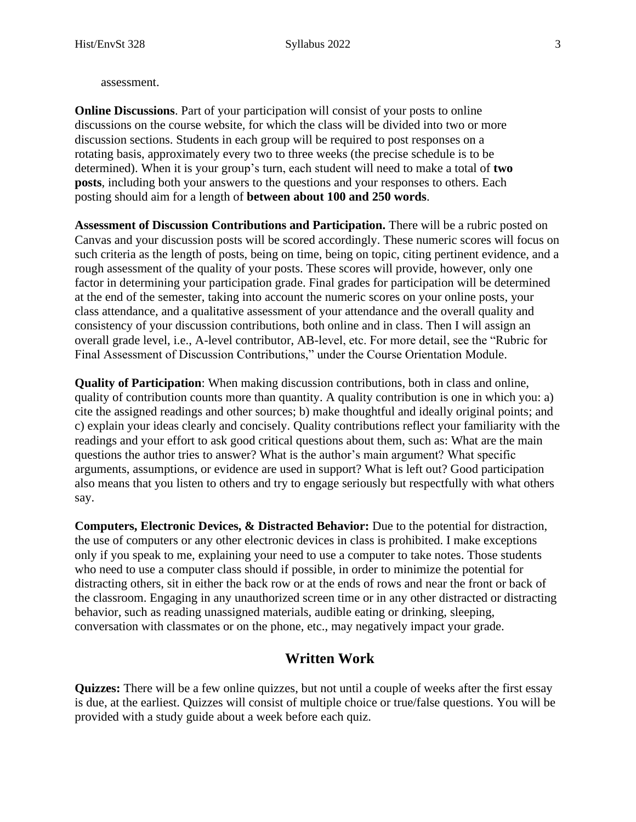assessment.

**Online Discussions**. Part of your participation will consist of your posts to online discussions on the course website, for which the class will be divided into two or more discussion sections. Students in each group will be required to post responses on a rotating basis, approximately every two to three weeks (the precise schedule is to be determined). When it is your group's turn, each student will need to make a total of **two posts**, including both your answers to the questions and your responses to others. Each posting should aim for a length of **between about 100 and 250 words**.

**Assessment of Discussion Contributions and Participation.** There will be a rubric posted on Canvas and your discussion posts will be scored accordingly. These numeric scores will focus on such criteria as the length of posts, being on time, being on topic, citing pertinent evidence, and a rough assessment of the quality of your posts. These scores will provide, however, only one factor in determining your participation grade. Final grades for participation will be determined at the end of the semester, taking into account the numeric scores on your online posts, your class attendance, and a qualitative assessment of your attendance and the overall quality and consistency of your discussion contributions, both online and in class. Then I will assign an overall grade level, i.e., A-level contributor, AB-level, etc. For more detail, see the "Rubric for Final Assessment of Discussion Contributions," under the Course Orientation Module.

**Quality of Participation**: When making discussion contributions, both in class and online, quality of contribution counts more than quantity. A quality contribution is one in which you: a) cite the assigned readings and other sources; b) make thoughtful and ideally original points; and c) explain your ideas clearly and concisely. Quality contributions reflect your familiarity with the readings and your effort to ask good critical questions about them, such as: What are the main questions the author tries to answer? What is the author's main argument? What specific arguments, assumptions, or evidence are used in support? What is left out? Good participation also means that you listen to others and try to engage seriously but respectfully with what others say.

**Computers, Electronic Devices, & Distracted Behavior:** Due to the potential for distraction, the use of computers or any other electronic devices in class is prohibited. I make exceptions only if you speak to me, explaining your need to use a computer to take notes. Those students who need to use a computer class should if possible, in order to minimize the potential for distracting others, sit in either the back row or at the ends of rows and near the front or back of the classroom. Engaging in any unauthorized screen time or in any other distracted or distracting behavior, such as reading unassigned materials, audible eating or drinking, sleeping, conversation with classmates or on the phone, etc., may negatively impact your grade.

# **Written Work**

**Quizzes:** There will be a few online quizzes, but not until a couple of weeks after the first essay is due, at the earliest. Quizzes will consist of multiple choice or true/false questions. You will be provided with a study guide about a week before each quiz.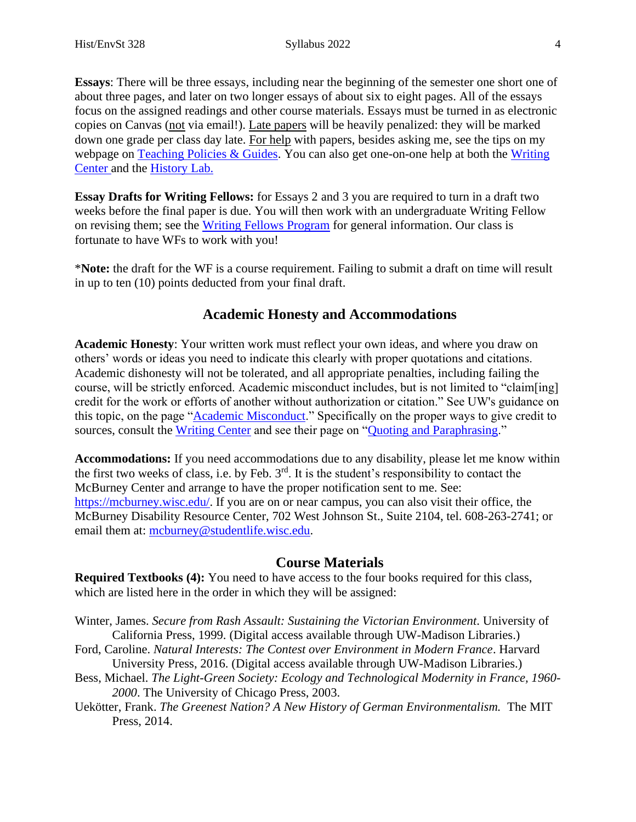**Essays**: There will be three essays, including near the beginning of the semester one short one of about three pages, and later on two longer essays of about six to eight pages. All of the essays focus on the assigned readings and other course materials. Essays must be turned in as electronic copies on Canvas (not via email!). Late papers will be heavily penalized: they will be marked down one grade per class day late. For help with papers, besides asking me, see the tips on my webpage on  $Teaching Polcies  $\&$  Guides. You can also get one-on-one help at both the Writing$ </u> [Center a](https://writing.wisc.edu/)nd the [History Lab.](https://history.wisc.edu/undergraduate-program/the-history-lab/)

**Essay Drafts for Writing Fellows:** for Essays 2 and 3 you are required to turn in a draft two weeks before the final paper is due. You will then work with an undergraduate Writing Fellow on revising them; see the [Writing Fellows Program](https://writing.wisc.edu/writingfellows/about/) for general information. Our class is fortunate to have WFs to work with you!

\***Note:** the draft for the WF is a course requirement. Failing to submit a draft on time will result in up to ten (10) points deducted from your final draft.

# **Academic Honesty and Accommodations**

**Academic Honesty**: Your written work must reflect your own ideas, and where you draw on others' words or ideas you need to indicate this clearly with proper quotations and citations. Academic dishonesty will not be tolerated, and all appropriate penalties, including failing the course, will be strictly enforced. Academic misconduct includes, but is not limited to "claim[ing] credit for the work or efforts of another without authorization or citation." See UW's guidance on this topic, on the page "**Academic Misconduct**." Specifically on the proper ways to give credit to sources, consult the [Writing Center](http://www.writing.wisc.edu/) and see their page on ["Quoting and Paraphrasing.](https://writing.wisc.edu/handbook/assignments/quotingsources/)"

**Accommodations:** If you need accommodations due to any disability, please let me know within the first two weeks of class, i.e. by Feb.  $3<sup>rd</sup>$ . It is the student's responsibility to contact the McBurney Center and arrange to have the proper notification sent to me. See: [https://mcburney.wisc.edu/.](https://mcburney.wisc.edu/) If you are on or near campus, you can also visit their office, the McBurney Disability Resource Center, 702 West Johnson St., Suite 2104, tel. 608-263-2741; or email them at: [mcburney@studentlife.wisc.edu.](mailto:mcburney@studentlife.wisc.edu)

### **Course Materials**

**Required Textbooks (4):** You need to have access to the four books required for this class, which are listed here in the order in which they will be assigned:

- Winter, James. *Secure from Rash Assault: Sustaining the Victorian Environment*. University of California Press, 1999. (Digital access available through UW-Madison Libraries.)
- Ford, Caroline. *Natural Interests: The Contest over Environment in Modern France*. Harvard University Press, 2016. (Digital access available through UW-Madison Libraries.)
- Bess, Michael. *The Light-Green Society: Ecology and Technological Modernity in France, 1960- 2000*. The University of Chicago Press, 2003.
- Uekötter, Frank. *The Greenest Nation? A New History of German Environmentalism.* The MIT Press, 2014.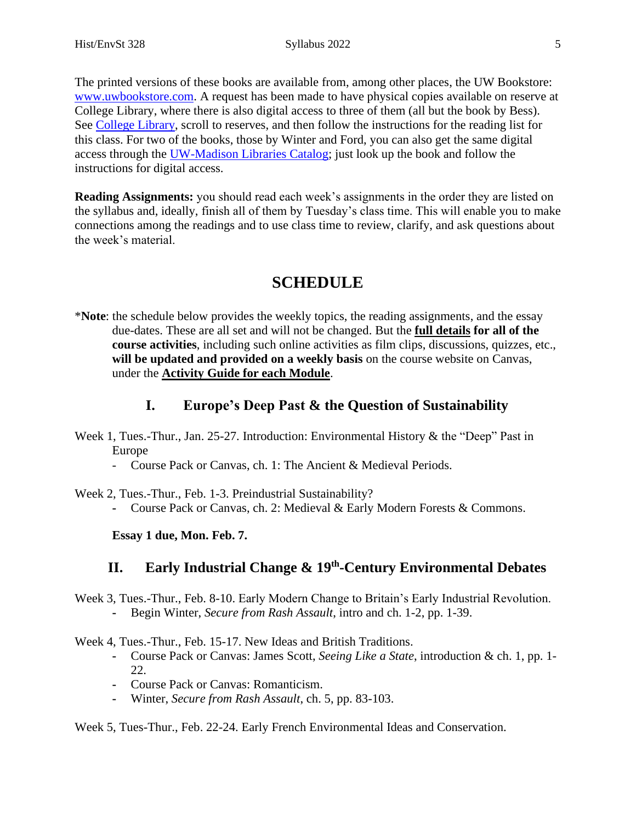The printed versions of these books are available from, among other places, the UW Bookstore: [www.uwbookstore.com.](http://www.uwbookstore.com/) A request has been made to have physical copies available on reserve at College Library, where there is also digital access to three of them (all but the book by Bess). See [College Library,](https://www.library.wisc.edu/college/services-at-college/) scroll to reserves, and then follow the instructions for the reading list for this class. For two of the books, those by Winter and Ford, you can also get the same digital access through the [UW-Madison Libraries](https://www.library.wisc.edu/) Catalog; just look up the book and follow the instructions for digital access.

**Reading Assignments:** you should read each week's assignments in the order they are listed on the syllabus and, ideally, finish all of them by Tuesday's class time. This will enable you to make connections among the readings and to use class time to review, clarify, and ask questions about the week's material.

# **SCHEDULE**

\***Note**: the schedule below provides the weekly topics, the reading assignments, and the essay due-dates. These are all set and will not be changed. But the **full details for all of the course activities**, including such online activities as film clips, discussions, quizzes, etc., **will be updated and provided on a weekly basis** on the course website on Canvas, under the **Activity Guide for each Module**.

# **I. Europe's Deep Past & the Question of Sustainability**

- Week 1, Tues.-Thur., Jan. 25-27. Introduction: Environmental History & the "Deep" Past in Europe
	- Course Pack or Canvas, ch. 1: The Ancient & Medieval Periods.

Week 2, Tues.-Thur., Feb. 1-3. Preindustrial Sustainability?

**-** Course Pack or Canvas, ch. 2: Medieval & Early Modern Forests & Commons.

**Essay 1 due, Mon. Feb. 7.**

# **II. Early Industrial Change & 19<sup>th</sup>-Century Environmental Debates**

Week 3, Tues.-Thur., Feb. 8-10. Early Modern Change to Britain's Early Industrial Revolution. **-** Begin Winter, *Secure from Rash Assault*, intro and ch. 1-2, pp. 1-39.

Week 4, Tues.-Thur., Feb. 15-17. New Ideas and British Traditions.

- **-** Course Pack or Canvas: James Scott, *Seeing Like a State*, introduction & ch. 1, pp. 1- 22.
- **-** Course Pack or Canvas: Romanticism.
- **-** Winter, *Secure from Rash Assault*, ch. 5, pp. 83-103.

Week 5, Tues-Thur., Feb. 22-24. Early French Environmental Ideas and Conservation.